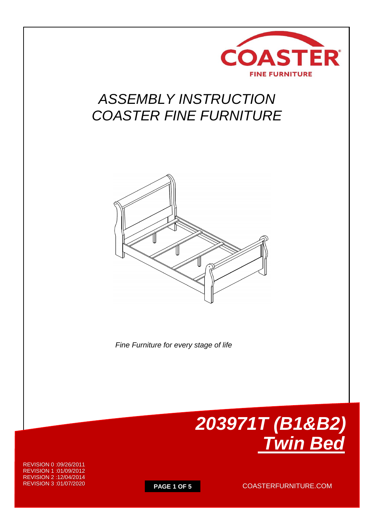

# *ASSEMBLY INSTRUCTION COASTER FINE FURNITURE*



 *Fine Furniture for every stage of life*



REVISION 0 :09/26/2011 REVISION 1 :01/09/2012 REVISION 2 :12/04/2014 REVISION 3 :01/07/2020

**PAGE 1 OF 5** COASTERFURNITURE.COM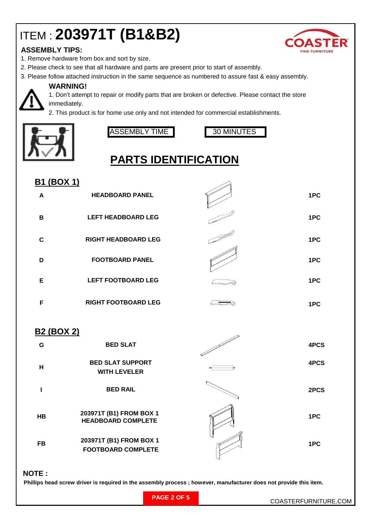# ITEM : **203971T (B1&B2)**

### **ASSEMBLY TIPS:**

- 1. Remove hardware from box and sort by size.
- 2. Please check to see that all hardware and parts are present prior to start of assembly.
- 3. Please follow attached instruction in the same sequence as numbered to assure fast & easy assembly.



#### **WARNING!**

1. Don't attempt to repair or modify parts that are broken or defective. Please contact the store immediately.

2. This product is for home use only and not intended for commercial establishments.



ASSEMBLY TIME 30 MINUTES



# **PARTS IDENTIFICATION**

| <b>B1 (BOX 1)</b> |                                                |      |
|-------------------|------------------------------------------------|------|
| A                 | <b>HEADBOARD PANEL</b>                         | 1PC  |
| B                 | <b>LEFT HEADBOARD LEG</b>                      | 1PC  |
| $\mathbf c$       | <b>RIGHT HEADBOARD LEG</b>                     | 1PC  |
| D                 | <b>FOOTBOARD PANEL</b>                         | 1PC  |
| Е                 | <b>LEFT FOOTBOARD LEG</b>                      | 1PC  |
| F                 | <b>RIGHT FOOTBOARD LEG</b>                     | 1PC  |
| <b>B2 (BOX 2)</b> |                                                |      |
| G                 | <b>BED SLAT</b>                                | 4PCS |
| H                 | <b>BED SLAT SUPPORT</b><br><b>WITH LEVELER</b> | 4PCS |
|                   | <b>BED RAIL</b>                                | 2PCS |

**1PC 1PC HB 203971T (B1) FROM BOX 1 FB 203971T (B1) FROM BOX 1 HEADBOARD COMPLETE FOOTBOARD COMPLETE**

#### **NOTE :**

 **Phillips head screw driver is required in the assembly process ; however, manufacturer does not provide this item.**

| ▲                     |
|-----------------------|
| <b>FINE FUDNITUDE</b> |

**PAGE 2 OF 5**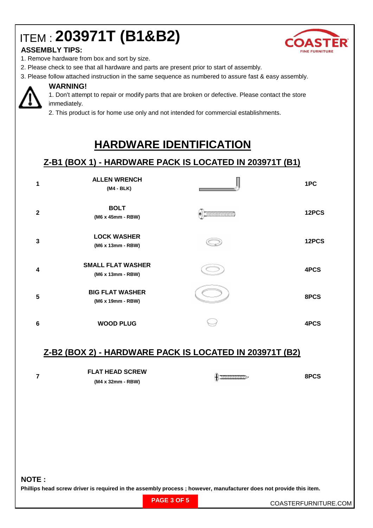# ITEM : **203971T (B1&B2)**



### **ASSEMBLY TIPS:**

- 1. Remove hardware from box and sort by size.
- 2. Please check to see that all hardware and parts are present prior to start of assembly.
- 3. Please follow attached instruction in the same sequence as numbered to assure fast & easy assembly.



#### **WARNING!**

1. Don't attempt to repair or modify parts that are broken or defective. Please contact the store immediately.

2. This product is for home use only and not intended for commercial establishments.

## **HARDWARE IDENTIFICATION**

## **Z-B1 (BOX 1) - HARDWARE PACK IS LOCATED IN 203971T (B1)**

|              | <b>ALLEN WRENCH</b><br>(M4 - BLK)             | 1PC   |
|--------------|-----------------------------------------------|-------|
| $\mathbf{2}$ | <b>BOLT</b><br>(M6 x 45mm - RBW)              | 12PCS |
| 3            | <b>LOCK WASHER</b><br>(M6 x 13mm - RBW)       | 12PCS |
| 4            | <b>SMALL FLAT WASHER</b><br>(M6 x 13mm - RBW) | 4PCS  |
| 5            | <b>BIG FLAT WASHER</b><br>(M6 x 19mm - RBW)   | 8PCS  |
| 6            | <b>WOOD PLUG</b>                              | 4PCS  |

### **Z-B2 (BOX 2) - HARDWARE PACK IS LOCATED IN 203971T (B2)**

| <b>FLAT HEAD SCREW</b> |  | 8PCS |
|------------------------|--|------|
| (M4 x 32mm - RBW)      |  |      |

#### **NOTE :**

**7**

**Phillips head screw driver is required in the assembly process ; however, manufacturer does not provide this item.**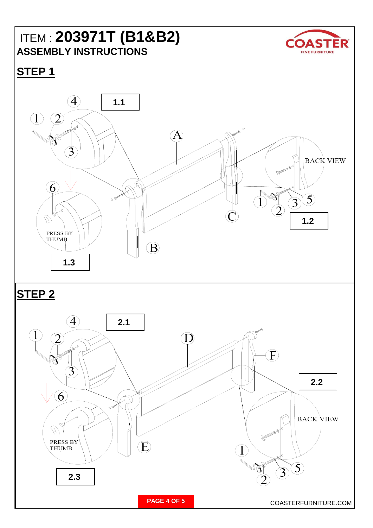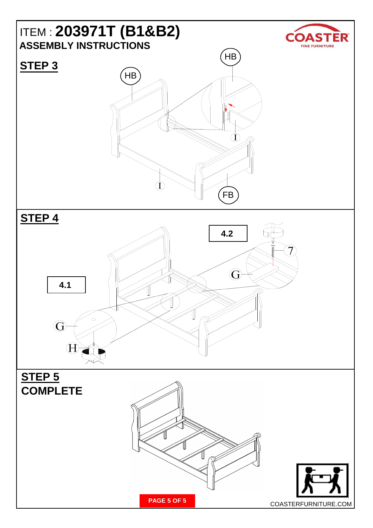